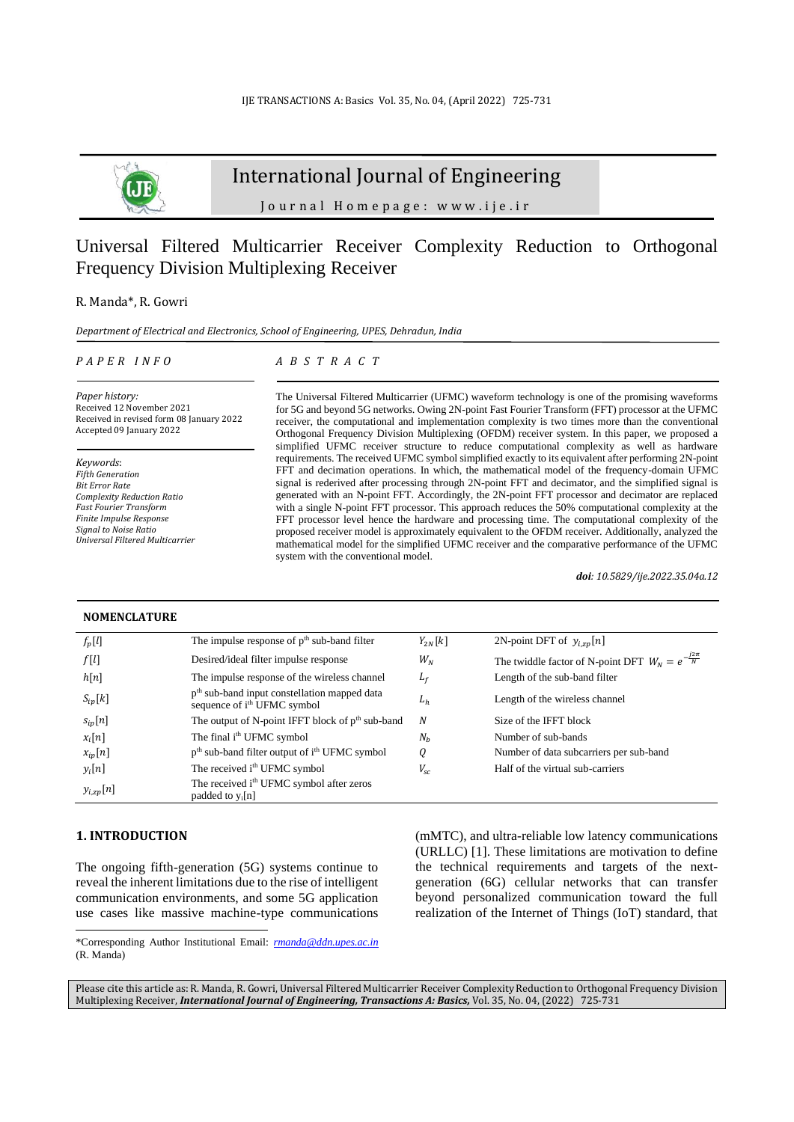

# International Journal of Engineering

J o u r n a l H o m e p a g e : w w w . i j e . i r

# Universal Filtered Multicarrier Receiver Complexity Reduction to Orthogonal Frequency Division Multiplexing Receiver

## R. Manda\*, R. Gowri

*Department of Electrical and Electronics, School of Engineering, UPES, Dehradun, India*

#### *P A P E R I N F O*

*A B S T R A C T*

*Paper history:* Received 12 November 2021 Received in revised form 08 January 2022 Accepted 09 January 2022

*Keywords*: *Fifth Generation Bit Error Rate Complexity Reduction Ratio Fast Fourier Transform Finite Impulse Response Signal to Noise Ratio Universal Filtered Multicarrier*

#### The Universal Filtered Multicarrier (UFMC) waveform technology is one of the promising waveforms for 5G and beyond 5G networks. Owing 2N-point Fast Fourier Transform (FFT) processor at the UFMC receiver, the computational and implementation complexity is two times more than the conventional Orthogonal Frequency Division Multiplexing (OFDM) receiver system. In this paper, we proposed a simplified UFMC receiver structure to reduce computational complexity as well as hardware requirements. The received UFMC symbol simplified exactly to its equivalent after performing 2N-point FFT and decimation operations. In which, the mathematical model of the frequency-domain UFMC signal is rederived after processing through 2N-point FFT and decimator, and the simplified signal is generated with an N-point FFT. Accordingly, the 2N-point FFT processor and decimator are replaced with a single N-point FFT processor. This approach reduces the 50% computational complexity at the FFT processor level hence the hardware and processing time. The computational complexity of the proposed receiver model is approximately equivalent to the OFDM receiver. Additionally, analyzed the mathematical model for the simplified UFMC receiver and the comparative performance of the UFMC system with the conventional model.

*doi: 10.5829/ije.2022.35.04a.12*

| <b>NOMENCLATURE</b> |                                                                                                     |             |                                                                |
|---------------------|-----------------------------------------------------------------------------------------------------|-------------|----------------------------------------------------------------|
| $f_p[l]$            | The impulse response of $pth$ sub-band filter                                                       | $Y_{2N}[k]$ | 2N-point DFT of $y_{i,zn}[n]$                                  |
| f[l]                | Desired/ideal filter impulse response                                                               | $W_N$       | The twiddle factor of N-point DFT $W_N = e^{-\frac{j2\pi}{N}}$ |
| h[n]                | The impulse response of the wireless channel                                                        | $L_f$       | Length of the sub-band filter                                  |
| $S_{ip}[k]$         | p <sup>th</sup> sub-band input constellation mapped data<br>sequence of i <sup>th</sup> UFMC symbol | $L_h$       | Length of the wireless channel                                 |
| $s_{ip}[n]$         | The output of N-point IFFT block of $pth$ sub-band                                                  | N           | Size of the IFFT block                                         |
| $x_i[n]$            | The final i <sup>th</sup> UFMC symbol                                                               | $N_h$       | Number of sub-bands                                            |
| $x_{ip}[n]$         | p <sup>th</sup> sub-band filter output of i <sup>th</sup> UFMC symbol                               | Q           | Number of data subcarriers per sub-band                        |
| $y_i[n]$            | The received i <sup>th</sup> UFMC symbol                                                            | $V_{sc}$    | Half of the virtual sub-carriers                               |
| $y_{i, zp}[n]$      | The received i <sup>th</sup> UFMC symbol after zeros<br>padded to $y_i[n]$                          |             |                                                                |

# **1. INTRODUCTION<sup>1</sup>**

The ongoing fifth-generation (5G) systems continue to reveal the inherent limitations due to the rise of intelligent communication environments, and some 5G application use cases like massive machine-type communications

\*Corresponding Author Institutional Email: *[rmanda@ddn.upes.ac.in](mailto:rmanda@ddn.upes.ac.in)* (R. Manda)

(mMTC), and ultra-reliable low latency communications (URLLC) [1]. These limitations are motivation to define the technical requirements and targets of the nextgeneration (6G) cellular networks that can transfer beyond personalized communication toward the full realization of the Internet of Things (IoT) standard, that

Please cite this article as: R. Manda, R. Gowri, Universal Filtered Multicarrier Receiver Complexity Reduction to Orthogonal Frequency Division Multiplexing Receiver, *International Journal of Engineering, Transactions A: Basics,* Vol. 35, No. 04, (2022) 725-731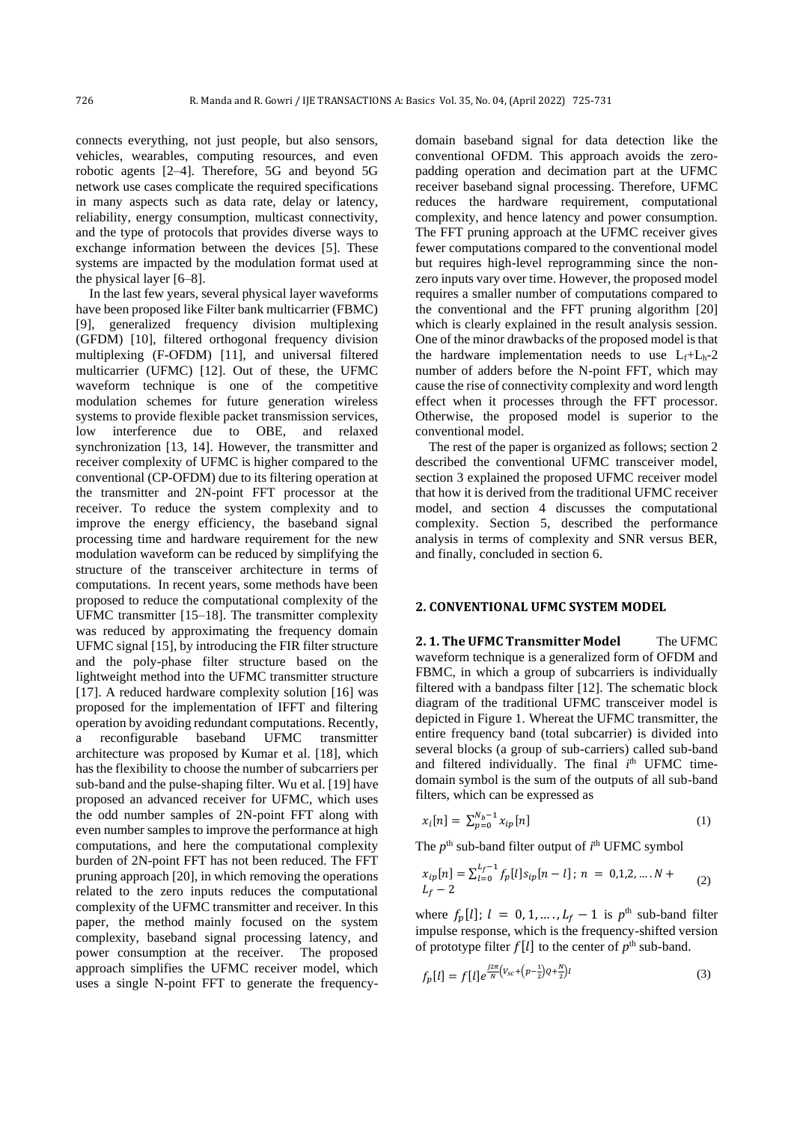connects everything, not just people, but also sensors, vehicles, wearables, computing resources, and even robotic agents [2–4]. Therefore, 5G and beyond 5G network use cases complicate the required specifications in many aspects such as data rate, delay or latency, reliability, energy consumption, multicast connectivity, and the type of protocols that provides diverse ways to exchange information between the devices [5]. These systems are impacted by the modulation format used at the physical layer [6–8].

In the last few years, several physical layer waveforms have been proposed like Filter bank multicarrier (FBMC) [9], generalized frequency division multiplexing (GFDM) [10], filtered orthogonal frequency division multiplexing (F-OFDM) [11], and universal filtered multicarrier (UFMC) [12]. Out of these, the UFMC waveform technique is one of the competitive modulation schemes for future generation wireless systems to provide flexible packet transmission services, low interference due to OBE, and relaxed synchronization [13, 14]. However, the transmitter and receiver complexity of UFMC is higher compared to the conventional (CP-OFDM) due to its filtering operation at the transmitter and 2N-point FFT processor at the receiver. To reduce the system complexity and to improve the energy efficiency, the baseband signal processing time and hardware requirement for the new modulation waveform can be reduced by simplifying the structure of the transceiver architecture in terms of computations. In recent years, some methods have been proposed to reduce the computational complexity of the UFMC transmitter [15–18]. The transmitter complexity was reduced by approximating the frequency domain UFMC signal [15], by introducing the FIR filter structure and the poly-phase filter structure based on the lightweight method into the UFMC transmitter structure [17]. A reduced hardware complexity solution [16] was proposed for the implementation of IFFT and filtering operation by avoiding redundant computations. Recently, a reconfigurable baseband UFMC transmitter architecture was proposed by Kumar et al. [18], which has the flexibility to choose the number of subcarriers per sub-band and the pulse-shaping filter. Wu et al. [19] have proposed an advanced receiver for UFMC, which uses the odd number samples of 2N-point FFT along with even number samples to improve the performance at high computations, and here the computational complexity burden of 2N-point FFT has not been reduced. The FFT pruning approach [20], in which removing the operations related to the zero inputs reduces the computational complexity of the UFMC transmitter and receiver. In this paper, the method mainly focused on the system complexity, baseband signal processing latency, and power consumption at the receiver. The proposed approach simplifies the UFMC receiver model, which uses a single N-point FFT to generate the frequencydomain baseband signal for data detection like the conventional OFDM. This approach avoids the zeropadding operation and decimation part at the UFMC receiver baseband signal processing. Therefore, UFMC reduces the hardware requirement, computational complexity, and hence latency and power consumption. The FFT pruning approach at the UFMC receiver gives fewer computations compared to the conventional model but requires high-level reprogramming since the nonzero inputs vary over time. However, the proposed model requires a smaller number of computations compared to the conventional and the FFT pruning algorithm [20] which is clearly explained in the result analysis session. One of the minor drawbacks of the proposed model is that the hardware implementation needs to use  $L_f + L_h - 2$ number of adders before the N-point FFT, which may cause the rise of connectivity complexity and word length effect when it processes through the FFT processor. Otherwise, the proposed model is superior to the conventional model.

The rest of the paper is organized as follows; section 2 described the conventional UFMC transceiver model, section 3 explained the proposed UFMC receiver model that how it is derived from the traditional UFMC receiver model, and section 4 discusses the computational complexity. Section 5, described the performance analysis in terms of complexity and SNR versus BER, and finally, concluded in section 6.

## **2. CONVENTIONAL UFMC SYSTEM MODEL**

**2. 1. The UFMC Transmitter Model** The UFMC waveform technique is a generalized form of OFDM and FBMC, in which a group of subcarriers is individually filtered with a bandpass filter [12]. The schematic block diagram of the traditional UFMC transceiver model is depicted in Figure 1. Whereat the UFMC transmitter, the entire frequency band (total subcarrier) is divided into several blocks (a group of sub-carriers) called sub-band and filtered individually. The final  $i<sup>th</sup>$  UFMC timedomain symbol is the sum of the outputs of all sub-band filters, which can be expressed as

$$
x_i[n] = \sum_{p=0}^{N_b - 1} x_{ip}[n] \tag{1}
$$

The  $p^{\text{th}}$  sub-band filter output of  $i^{\text{th}}$  UFMC symbol

$$
x_{ip}[n] = \sum_{l=0}^{L_f-1} f_p[l] s_{ip}[n-l]; n = 0,1,2,...N + L_f-2
$$
 (2)

where  $f_p[l]$ ;  $l = 0, 1, ..., L_f - 1$  is  $p^{\text{th}}$  sub-band filter impulse response, which is the frequency-shifted version of prototype filter  $f[l]$  to the center of  $p^{\text{th}}$  sub-band.

$$
f_p[l] = f[l]e^{\frac{j2\pi}{N}(V_{sc} + \left(p - \frac{1}{2}\right)Q + \frac{N}{2})l}
$$
\n(3)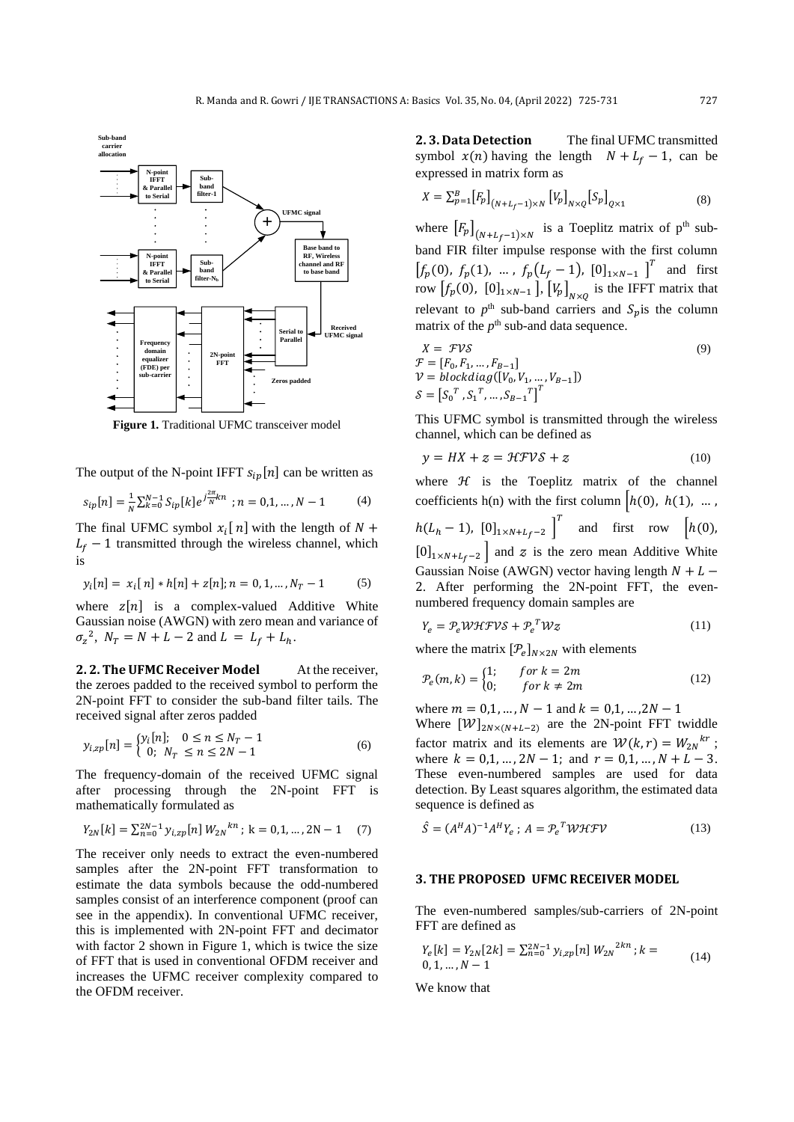

**Figure 1.** Traditional UFMC transceiver model

The output of the N-point IFFT  $s_{ip}[n]$  can be written as

$$
s_{ip}[n] = \frac{1}{N} \sum_{k=0}^{N-1} S_{ip}[k] e^{j\frac{2\pi}{N}kn} \ ; n = 0, 1, \dots, N-1 \qquad \quad \text{(4)}
$$

The final UFMC symbol  $x_i$ [n] with the length of  $N +$  $L_f$  − 1 transmitted through the wireless channel, which is

$$
y_i[n] = x_i[n] * h[n] + z[n]; n = 0, 1, ..., N_T - 1
$$
 (5)

where  $z[n]$  is a complex-valued Additive White Gaussian noise (AWGN) with zero mean and variance of  $\sigma_z^2$ ,  $N_T = N + L - 2$  and  $L = L_f + L_h$ .

**2.2. The UFMC Receiver Model** At the receiver, the zeroes padded to the received symbol to perform the 2N-point FFT to consider the sub-band filter tails. The received signal after zeros padded

$$
y_{i,zp}[n] = \begin{cases} y_i[n]; & 0 \le n \le N_T - 1\\ 0; & N_T \le n \le 2N - 1 \end{cases}
$$
 (6)

The frequency-domain of the received UFMC signal after processing through the 2N-point FFT is mathematically formulated as

$$
Y_{2N}[k] = \sum_{n=0}^{2N-1} y_{i,zp}[n] W_{2N}^{kn}; k = 0, 1, ..., 2N - 1
$$
 (7)

The receiver only needs to extract the even-numbered samples after the 2N-point FFT transformation to estimate the data symbols because the odd-numbered samples consist of an interference component (proof can see in the appendix). In conventional UFMC receiver, this is implemented with 2N-point FFT and decimator with factor 2 shown in Figure 1, which is twice the size of FFT that is used in conventional OFDM receiver and increases the UFMC receiver complexity compared to the OFDM receiver.

**2. 3. Data Detection** The final UFMC transmitted symbol  $x(n)$  having the length  $N + L_f - 1$ , can be expressed in matrix form as

$$
X = \sum_{p=1}^{B} [F_p]_{(N+L_f-1)\times N} [V_p]_{N\times Q} [S_p]_{Q\times 1}
$$
 (8)

where  $[F_p]_{(N+L_f-1)\times N}$  is a Toeplitz matrix of p<sup>th</sup> subband FIR filter impulse response with the first column  $[f_p(0), f_p(1), ..., f_p(L_f-1), [0]_{1 \times N-1}]^T$  and first row  $[f_p(0), [0]_{1 \times N-1}]$ ,  $[V_p]_{N \times Q}$  is the IFFT matrix that relevant to  $p^{\text{th}}$  sub-band carriers and  $S_p$  is the column matrix of the  $p^{\text{th}}$  sub-and data sequence.

$$
X = \mathcal{F}VS
$$
  
\n
$$
\mathcal{F} = [F_0, F_1, \dots, F_{B-1}]
$$
  
\n
$$
\mathcal{V} = blockdiag([V_0, V_1, \dots, V_{B-1}])
$$
  
\n
$$
\mathcal{S} = [S_0^T, S_1^T, \dots, S_{B-1}^T]^T
$$
\n(9)

This UFMC symbol is transmitted through the wireless channel, which can be defined as

$$
y = HX + z = HFVS + z \tag{10}
$$

where  $H$  is the Toeplitz matrix of the channel coefficients h(n) with the first column  $h(0)$ ,  $h(1)$ , ...,  $h(L_h - 1)$ ,  $[0]_{1 \times N + L_f - 2}$   $\Big]^T$  and first row  $\Big[ h(0)$ ,  $[0]_{1 \times N + L_f - 2}$  and z is the zero mean Additive White Gaussian Noise (AWGN) vector having length  $N + L$  – 2. After performing the 2N-point FFT, the evennumbered frequency domain samples are

$$
Y_e = P_e W H F V S + P_e^T W Z \tag{11}
$$

where the matrix  $[\mathcal{P}_e]_{N\times 2N}$  with elements

$$
\mathcal{P}_e(m,k) = \begin{cases} 1; & \text{for } k = 2m \\ 0; & \text{for } k \neq 2m \end{cases}
$$
 (12)

where  $m = 0, 1, ..., N - 1$  and  $k = 0, 1, ..., 2N - 1$ Where  $[\mathcal{W}]_{2N\times(N+L-2)}$  are the 2N-point FFT twiddle factor matrix and its elements are  $W(k, r) = W_{2N}^{kr}$ ; where  $k = 0, 1, ..., 2N - 1$ ; and  $r = 0, 1, ..., N + L - 3$ . These even-numbered samples are used for data detection. By Least squares algorithm, the estimated data sequence is defined as

$$
\hat{S} = (A^H A)^{-1} A^H Y_e ; A = \mathcal{P}_e^T \mathcal{W} \mathcal{H} \mathcal{F} \mathcal{V}
$$
 (13)

#### **3. THE PROPOSED UFMC RECEIVER MODEL**

The even-numbered samples/sub-carriers of 2N-point FFT are defined as

$$
Y_e[k] = Y_{2N}[2k] = \sum_{n=0}^{2N-1} y_{i,zp}[n] W_{2N}^{2kn}; k = 0, 1, ..., N-1
$$
\n(14)

We know that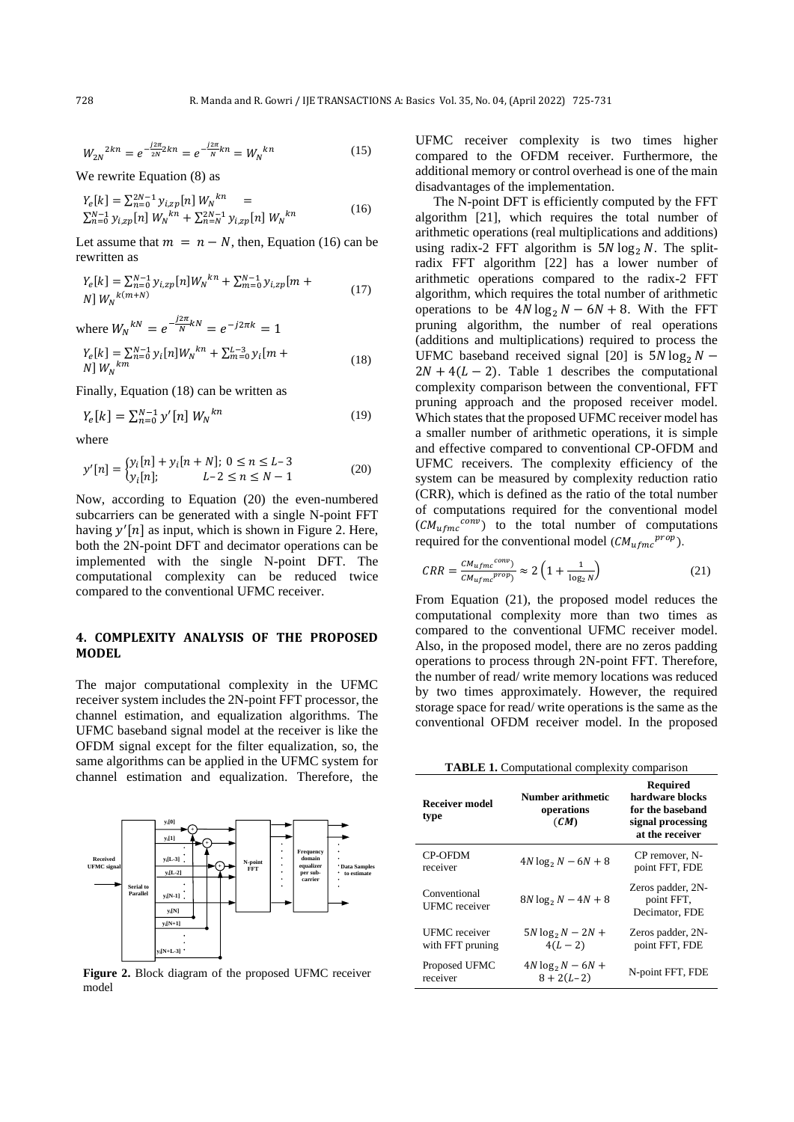$$
W_{2N}^{2kn} = e^{-\frac{j2\pi}{2N}2kn} = e^{-\frac{j2\pi}{N}kn} = W_N^{kn}
$$
 (15)

We rewrite Equation (8) as

$$
Y_e[k] = \sum_{n=0}^{2N-1} y_{i,zp}[n] W_N^{kn} =
$$
  
\n
$$
\sum_{n=0}^{N-1} y_{i,zp}[n] W_N^{kn} + \sum_{n=N}^{2N-1} y_{i,zp}[n] W_N^{kn}
$$
 (16)

Let assume that  $m = n - N$ , then, Equation (16) can be rewritten as

$$
Y_e[k] = \sum_{n=0}^{N-1} y_{i,zp}[n]W_N^{kn} + \sum_{m=0}^{N-1} y_{i,zp}[m + N]W_N^{k(m+N)}
$$
\n(17)

where 
$$
W_N^{kN} = e^{-j2\pi kN} = e^{-j2\pi k} = 1
$$
  
\n $Y_e[k] = \sum_{n=0}^{N-1} y_i[n]W_N^{kn} + \sum_{m=0}^{L-3} y_i[m + N]W_N^{km}$  (18)

Finally, Equation (18) can be written as

$$
Y_e[k] = \sum_{n=0}^{N-1} y'[n] W_N^{kn}
$$
 (19)

where

$$
y'[n] = \begin{cases} y_i[n] + y_i[n+N]; & 0 \le n \le L-3\\ y_i[n]; & L-2 \le n \le N-1 \end{cases}
$$
 (20)

Now, according to Equation (20) the even-numbered subcarriers can be generated with a single N-point FFT having  $y'[n]$  as input, which is shown in Figure 2. Here, both the 2N-point DFT and decimator operations can be implemented with the single N-point DFT. The computational complexity can be reduced twice compared to the conventional UFMC receiver.

# **4. COMPLEXITY ANALYSIS OF THE PROPOSED MODEL**

The major computational complexity in the UFMC receiver system includes the 2N-point FFT processor, the channel estimation, and equalization algorithms. The UFMC baseband signal model at the receiver is like the OFDM signal except for the filter equalization, so, the same algorithms can be applied in the UFMC system for channel estimation and equalization. Therefore, the



**Figure 2.** Block diagram of the proposed UFMC receiver model

UFMC receiver complexity is two times higher compared to the OFDM receiver. Furthermore, the additional memory or control overhead is one of the main disadvantages of the implementation.

The N-point DFT is efficiently computed by the FFT algorithm [21], which requires the total number of arithmetic operations (real multiplications and additions) using radix-2 FFT algorithm is  $5N \log_2 N$ . The splitradix FFT algorithm [22] has a lower number of arithmetic operations compared to the radix-2 FFT algorithm, which requires the total number of arithmetic operations to be  $4N \log_2 N - 6N + 8$ . With the FFT pruning algorithm, the number of real operations (additions and multiplications) required to process the UFMC baseband received signal [20] is  $5N \log_2 N 2N + 4(L - 2)$ . Table 1 describes the computational complexity comparison between the conventional, FFT pruning approach and the proposed receiver model. Which states that the proposed UFMC receiver model has a smaller number of arithmetic operations, it is simple and effective compared to conventional CP-OFDM and UFMC receivers. The complexity efficiency of the system can be measured by complexity reduction ratio (CRR), which is defined as the ratio of the total number of computations required for the conventional model  $(CM_{ufmc}^{conv})$  to the total number of computations required for the conventional model  $(CM_{ufmc}^{prop})$ .

$$
CRR = \frac{CM_{ufmc}^{conv}}{CM_{ufmc}^{prop}} \approx 2\left(1 + \frac{1}{\log_2 N}\right)
$$
 (21)

From Equation (21), the proposed model reduces the computational complexity more than two times as compared to the conventional UFMC receiver model. Also, in the proposed model, there are no zeros padding operations to process through 2N-point FFT. Therefore, the number of read/ write memory locations was reduced by two times approximately. However, the required storage space for read/ write operations is the same as the conventional OFDM receiver model. In the proposed

**TABLE 1.** Computational complexity comparison

| <b>Receiver model</b><br>type            | Number arithmetic<br>operations<br>(CM) | <b>Required</b><br>hardware blocks<br>for the baseband<br>signal processing<br>at the receiver |
|------------------------------------------|-----------------------------------------|------------------------------------------------------------------------------------------------|
| <b>CP-OFDM</b><br>receiver               | $4N \log_2 N - 6N + 8$                  | CP remover, N-<br>point FFT, FDE                                                               |
| Conventional<br><b>UFMC</b> receiver     | $8N \log_2 N - 4N + 8$                  | Zeros padder, 2N-<br>point FFT.<br>Decimator, FDE                                              |
| <b>UFMC</b> receiver<br>with FFT pruning | $5N \log_2 N - 2N +$<br>$4(L - 2)$      | Zeros padder, 2N-<br>point FFT, FDE                                                            |
| Proposed UFMC<br>receiver                | $4N \log_2 N - 6N +$<br>$8 + 2(L-2)$    | N-point FFT, FDE                                                                               |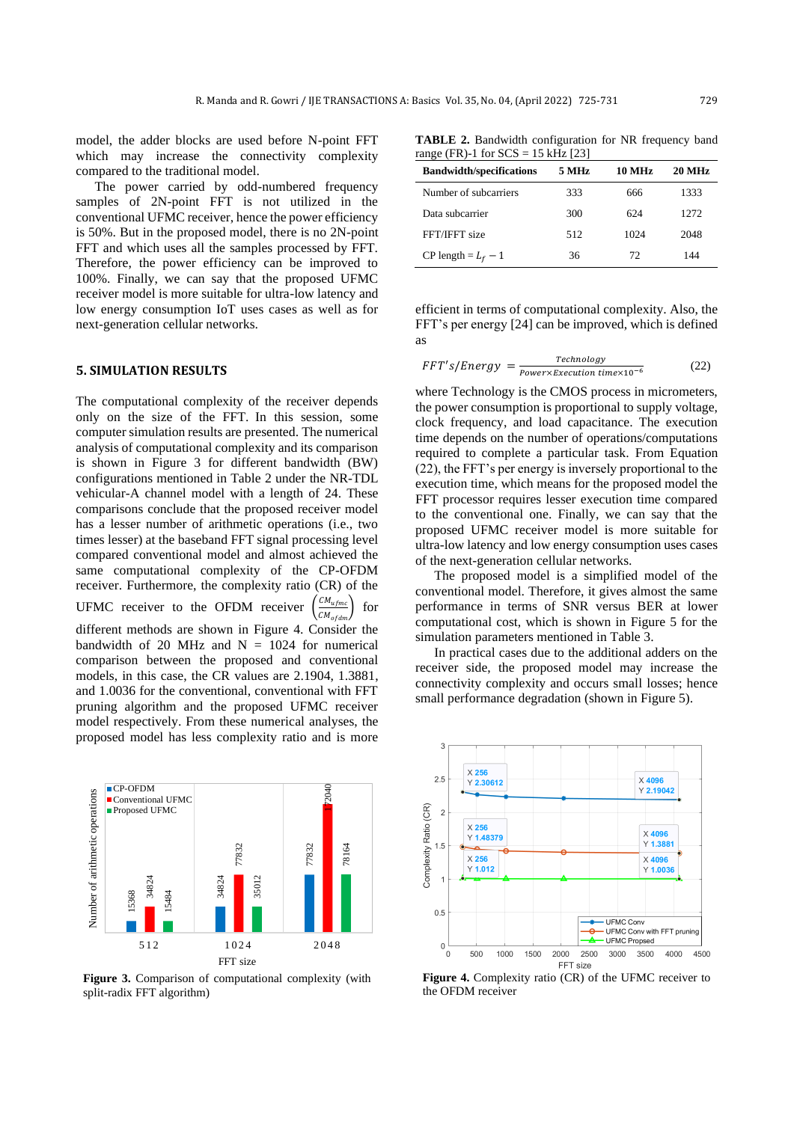model, the adder blocks are used before N-point FFT which may increase the connectivity complexity compared to the traditional model.

The power carried by odd-numbered frequency samples of 2N-point FFT is not utilized in the conventional UFMC receiver, hence the power efficiency is 50%. But in the proposed model, there is no 2N-point FFT and which uses all the samples processed by FFT. Therefore, the power efficiency can be improved to 100%. Finally, we can say that the proposed UFMC receiver model is more suitable for ultra-low latency and low energy consumption IoT uses cases as well as for next-generation cellular networks.

## **5. SIMULATION RESULTS**

The computational complexity of the receiver depends only on the size of the FFT. In this session, some computer simulation results are presented. The numerical analysis of computational complexity and its comparison is shown in Figure 3 for different bandwidth (BW) configurations mentioned in Table 2 under the NR-TDL vehicular-A channel model with a length of 24. These comparisons conclude that the proposed receiver model has a lesser number of arithmetic operations (i.e., two times lesser) at the baseband FFT signal processing level compared conventional model and almost achieved the same computational complexity of the CP-OFDM receiver. Furthermore, the complexity ratio (CR) of the UFMC receiver to the OFDM receiver  $\mathit{CM}_{\underline{u} \underline{f} \underline{m} \underline{c}}$  $\left(\frac{CM_{ufmc}}{CM_{ofdm}}\right)$  for different methods are shown in Figure 4. Consider the bandwidth of 20 MHz and  $N = 1024$  for numerical comparison between the proposed and conventional models, in this case, the CR values are 2.1904, 1.3881, and 1.0036 for the conventional, conventional with FFT pruning algorithm and the proposed UFMC receiver model respectively. From these numerical analyses, the proposed model has less complexity ratio and is more



**Figure 3.** Comparison of computational complexity (with split-radix FFT algorithm)

**TABLE 2.** Bandwidth configuration for NR frequency band range (FR)-1 for  $SCS = 15$  kHz [23]

| <b>Bandwidth/specifications</b> | 5 MHz | <b>10 MHz</b> | <b>20 MHz</b> |
|---------------------------------|-------|---------------|---------------|
| Number of subcarriers           | 333   | 666           | 1333          |
| Data subcarrier                 | 300   | 624           | 1272          |
| FFT/IFFT size                   | 512   | 1024          | 2048          |
| CP length = $L_f$ – 1           | 36    | 72            | 144           |

efficient in terms of computational complexity. Also, the FFT's per energy [24] can be improved, which is defined as

$$
FFT's/Energy = \frac{Technology}{Power \times Execution\ times \times 10^{-6}}
$$
 (22)

where Technology is the CMOS process in micrometers, the power consumption is proportional to supply voltage, clock frequency, and load capacitance. The execution time depends on the number of operations/computations required to complete a particular task. From Equation (22), the FFT's per energy is inversely proportional to the execution time, which means for the proposed model the FFT processor requires lesser execution time compared to the conventional one. Finally, we can say that the proposed UFMC receiver model is more suitable for ultra-low latency and low energy consumption uses cases of the next-generation cellular networks.

The proposed model is a simplified model of the conventional model. Therefore, it gives almost the same performance in terms of SNR versus BER at lower computational cost, which is shown in Figure 5 for the simulation parameters mentioned in Table 3.

In practical cases due to the additional adders on the receiver side, the proposed model may increase the connectivity complexity and occurs small losses; hence small performance degradation (shown in Figure 5).



**Figure 4.** Complexity ratio (CR) of the UFMC receiver to the OFDM receiver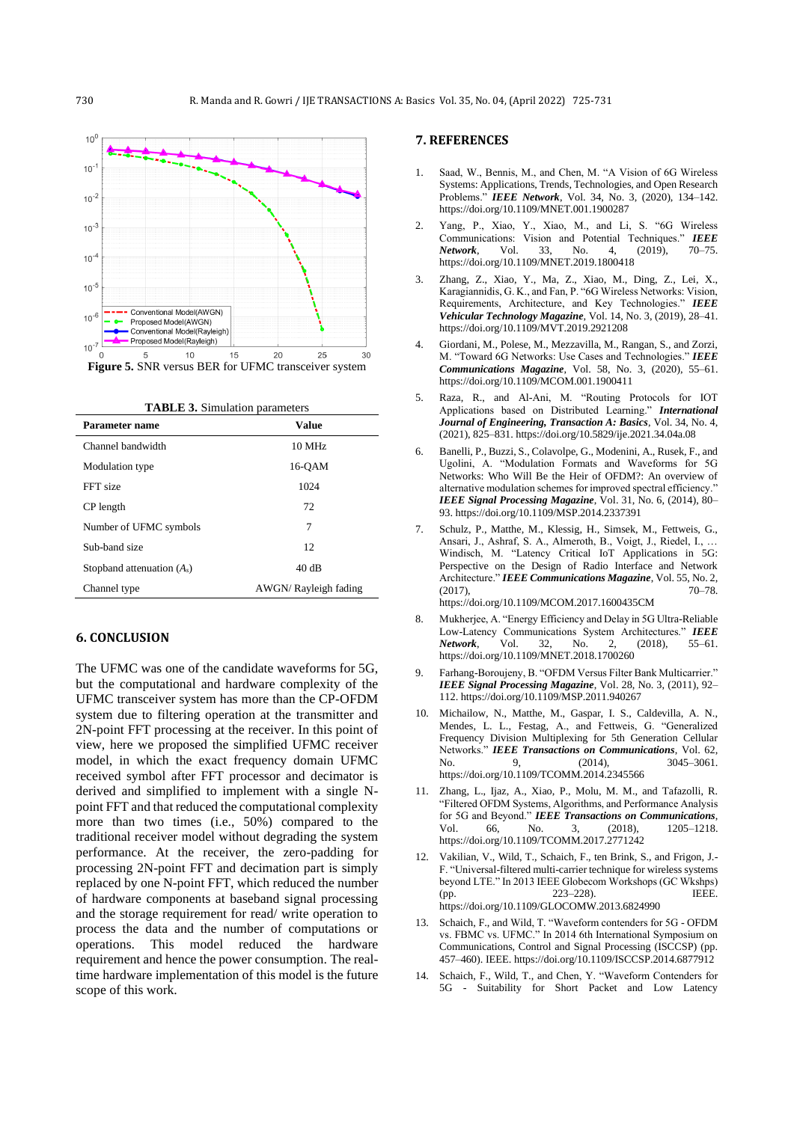

**TABLE 3.** Simulation parameters

| Parameter name              | Value                |  |  |
|-----------------------------|----------------------|--|--|
| Channel bandwidth           | 10 MHz               |  |  |
| Modulation type             | 16-OAM               |  |  |
| FFT size                    | 1024                 |  |  |
| CP length                   | 72                   |  |  |
| Number of UFMC symbols      | 7                    |  |  |
| Sub-band size               | 12.                  |  |  |
| Stopband attenuation $(As)$ | 40dB                 |  |  |
| Channel type                | AWGN/Rayleigh fading |  |  |

## **6. CONCLUSION**

The UFMC was one of the candidate waveforms for 5G, but the computational and hardware complexity of the UFMC transceiver system has more than the CP-OFDM system due to filtering operation at the transmitter and 2N-point FFT processing at the receiver. In this point of view, here we proposed the simplified UFMC receiver model, in which the exact frequency domain UFMC received symbol after FFT processor and decimator is derived and simplified to implement with a single Npoint FFT and that reduced the computational complexity more than two times (i.e., 50%) compared to the traditional receiver model without degrading the system performance. At the receiver, the zero-padding for processing 2N-point FFT and decimation part is simply replaced by one N-point FFT, which reduced the number of hardware components at baseband signal processing and the storage requirement for read/ write operation to process the data and the number of computations or operations. This model reduced the hardware requirement and hence the power consumption. The realtime hardware implementation of this model is the future scope of this work.

## **7. REFERENCES**

- Saad, W., Bennis, M., and Chen, M. "A Vision of 6G Wireless Systems: Applications, Trends, Technologies, and Open Research Problems." *IEEE Network*, Vol. 34, No. 3, (2020), 134–142. https://doi.org/10.1109/MNET.001.1900287
- 2. Yang, P., Xiao, Y., Xiao, M., and Li, S. "6G Wireless Communications: Vision and Potential Techniques." *IEEE Network*, Vol. 33, No. 4, (2019), 70–75. https://doi.org/10.1109/MNET.2019.1800418
- 3. Zhang, Z., Xiao, Y., Ma, Z., Xiao, M., Ding, Z., Lei, X., Karagiannidis, G. K., and Fan, P. "6G Wireless Networks: Vision, Requirements, Architecture, and Key Technologies." *IEEE Vehicular Technology Magazine*, Vol. 14, No. 3, (2019), 28–41. https://doi.org/10.1109/MVT.2019.2921208
- 4. Giordani, M., Polese, M., Mezzavilla, M., Rangan, S., and Zorzi, M. "Toward 6G Networks: Use Cases and Technologies." *IEEE Communications Magazine*, Vol. 58, No. 3, (2020), 55–61. https://doi.org/10.1109/MCOM.001.1900411
- 5. Raza, R., and Al-Ani, M. "Routing Protocols for IOT Applications based on Distributed Learning." *International Journal of Engineering, Transaction A: Basics*, Vol. 34, No. 4, (2021), 825–831. https://doi.org/10.5829/ije.2021.34.04a.08
- 6. Banelli, P., Buzzi, S., Colavolpe, G., Modenini, A., Rusek, F., and Ugolini, A. "Modulation Formats and Waveforms for 5G Networks: Who Will Be the Heir of OFDM?: An overview of alternative modulation schemes for improved spectral efficiency." *IEEE Signal Processing Magazine*, Vol. 31, No. 6, (2014), 80– 93. https://doi.org/10.1109/MSP.2014.2337391
- 7. Schulz, P., Matthe, M., Klessig, H., Simsek, M., Fettweis, G., Ansari, J., Ashraf, S. A., Almeroth, B., Voigt, J., Riedel, I., … Windisch, M. "Latency Critical IoT Applications in 5G: Perspective on the Design of Radio Interface and Network Architecture." *IEEE Communications Magazine*, Vol. 55, No. 2, (2017), 70–78. https://doi.org/10.1109/MCOM.2017.1600435CM
- 8. Mukherjee, A. "Energy Efficiency and Delay in 5G Ultra-Reliable Low-Latency Communications System Architectures." *IEEE Network*, Vol. 32, No. 2, (2018), 55–61. https://doi.org/10.1109/MNET.2018.1700260
- 9. Farhang-Boroujeny, B. "OFDM Versus Filter Bank Multicarrier." *IEEE Signal Processing Magazine*, Vol. 28, No. 3, (2011), 92– 112. https://doi.org/10.1109/MSP.2011.940267
- Michailow, N., Matthe, M., Gaspar, I. S., Caldevilla, A. N., Mendes, L. L., Festag, A., and Fettweis, G. "Generalized Frequency Division Multiplexing for 5th Generation Cellular Networks." *IEEE Transactions on Communications*, Vol. 62, No. 9, (2014), 3045–3061. https://doi.org/10.1109/TCOMM.2014.2345566
- 11. Zhang, L., Ijaz, A., Xiao, P., Molu, M. M., and Tafazolli, R. "Filtered OFDM Systems, Algorithms, and Performance Analysis for 5G and Beyond." *IEEE Transactions on Communications*, Vol. 66, No. 3, (2018), 1205–1218. https://doi.org/10.1109/TCOMM.2017.2771242
- 12. Vakilian, V., Wild, T., Schaich, F., ten Brink, S., and Frigon, J.- F. "Universal-filtered multi-carrier technique for wireless systems beyond LTE." In 2013 IEEE Globecom Workshops (GC Wkshps)  $(pp. 223-228)$ . https://doi.org/10.1109/GLOCOMW.2013.6824990
- 13. Schaich, F., and Wild, T. "Waveform contenders for 5G OFDM vs. FBMC vs. UFMC." In 2014 6th International Symposium on Communications, Control and Signal Processing (ISCCSP) (pp. 457–460). IEEE. https://doi.org/10.1109/ISCCSP.2014.6877912
- 14. Schaich, F., Wild, T., and Chen, Y. "Waveform Contenders for 5G - Suitability for Short Packet and Low Latency